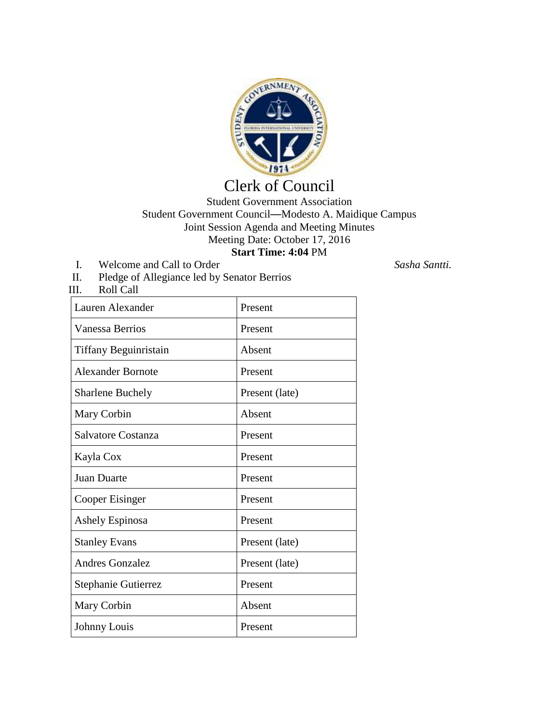

## Clerk of Council

## Student Government Association Student Government Council—Modesto A. Maidique Campus Joint Session Agenda and Meeting Minutes Meeting Date: October 17, 2016 **Start Time: 4:04** PM

I. Welcome and Call to Order *Sasha Santti.*

III. Roll Call

II. Pledge of Allegiance led by Senator Berrios

| Lauren Alexander         | Present        |
|--------------------------|----------------|
| <b>Vanessa Berrios</b>   | Present        |
| Tiffany Beguinristain    | Absent         |
| <b>Alexander Bornote</b> | Present        |
| <b>Sharlene Buchely</b>  | Present (late) |
| Mary Corbin              | Absent         |
| Salvatore Costanza       | Present        |
| Kayla Cox                | Present        |
| <b>Juan Duarte</b>       | Present        |
| Cooper Eisinger          | Present        |
| <b>Ashely Espinosa</b>   | Present        |
| <b>Stanley Evans</b>     | Present (late) |
| <b>Andres Gonzalez</b>   | Present (late) |
| Stephanie Gutierrez      | Present        |
| Mary Corbin              | Absent         |
| Johnny Louis             | Present        |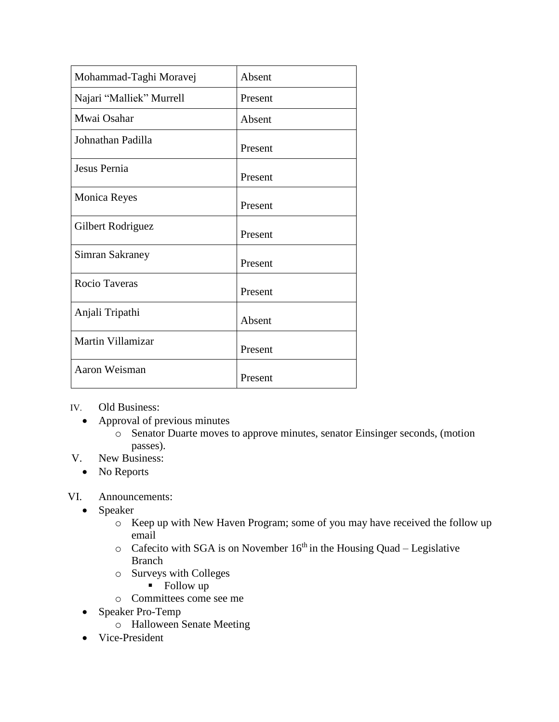| Mohammad-Taghi Moravej   | Absent  |
|--------------------------|---------|
| Najari "Malliek" Murrell | Present |
| Mwai Osahar              | Absent  |
| Johnathan Padilla        | Present |
| Jesus Pernia             | Present |
| <b>Monica Reyes</b>      | Present |
| Gilbert Rodriguez        | Present |
| Simran Sakraney          | Present |
| <b>Rocio Taveras</b>     | Present |
| Anjali Tripathi          | Absent  |
| Martin Villamizar        | Present |
| Aaron Weisman            | Present |

IV. Old Business:

- Approval of previous minutes
	- o Senator Duarte moves to approve minutes, senator Einsinger seconds, (motion passes).
- V. New Business:
	- No Reports

## VI. Announcements:

- Speaker
	- o Keep up with New Haven Program; some of you may have received the follow up email
	- $\circ$  Cafecito with SGA is on November 16<sup>th</sup> in the Housing Quad Legislative Branch
	- o Surveys with Colleges
		- Follow up
	- o Committees come see me
- Speaker Pro-Temp
	- o Halloween Senate Meeting
- Vice-President